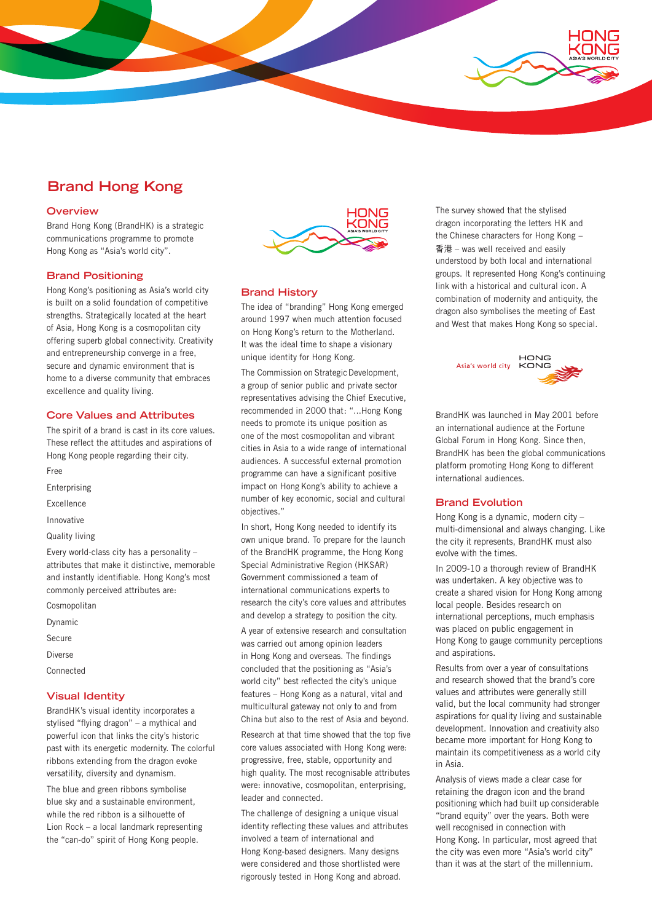# **Brand Hong Kong**

## **Overview**

Brand Hong Kong (BrandHK) is a strategic communications programme to promote Hong Kong as "Asia's world city".

## **Brand Positioning**

Hong Kong's positioning as Asia's world city is built on a solid foundation of competitive strengths. Strategically located at the heart of Asia, Hong Kong is a cosmopolitan city offering superb global connectivity. Creativity and entrepreneurship converge in a free, secure and dynamic environment that is home to a diverse community that embraces excellence and quality living.

## **Core Values and Attributes**

The spirit of a brand is cast in its core values. These reflect the attitudes and aspirations of Hong Kong people regarding their city.

- Free
- Enterprising
- Excellence
- Innovative
- Quality living

Every world-class city has a personality – attributes that make it distinctive, memorable and instantly identifiable. Hong Kong's most commonly perceived attributes are:

- Cosmopolitan
- Dynamic
- Secure
- Diverse
- Connected

## **Visual Identity**

BrandHK's visual identity incorporates a stylised "flying dragon" – a mythical and powerful icon that links the city's historic past with its energetic modernity. The colorful ribbons extending from the dragon evoke versatility, diversity and dynamism.

The blue and green ribbons symbolise blue sky and a sustainable environment, while the red ribbon is a silhouette of Lion Rock – a local landmark representing the "can-do" spirit of Hong Kong people.



#### **Brand History**

The idea of "branding" Hong Kong emerged around 1997 when much attention focused on Hong Kong's return to the Motherland. It was the ideal time to shape a visionary unique identity for Hong Kong.

The Commission on Strategic Development, a group of senior public and private sector representatives advising the Chief Executive, recommended in 2000 that: "...Hong Kong needs to promote its unique position as one of the most cosmopolitan and vibrant cities in Asia to a wide range of international audiences. A successful external promotion programme can have a significant positive impact on Hong Kong's ability to achieve a number of key economic, social and cultural objectives."

In short, Hong Kong needed to identify its own unique brand. To prepare for the launch of the BrandHK programme, the Hong Kong Special Administrative Region (HKSAR) Government commissioned a team of international communications experts to research the city's core values and attributes and develop a strategy to position the city.

A year of extensive research and consultation was carried out among opinion leaders in Hong Kong and overseas. The findings concluded that the positioning as "Asia's world city" best reflected the city's unique features – Hong Kong as a natural, vital and multicultural gateway not only to and from China but also to the rest of Asia and beyond. Research at that time showed that the top five

core values associated with Hong Kong were: progressive, free, stable, opportunity and high quality. The most recognisable attributes were: innovative, cosmopolitan, enterprising, leader and connected.

The challenge of designing a unique visual identity reflecting these values and attributes involved a team of international and Hong Kong-based designers. Many designs were considered and those shortlisted were rigorously tested in Hong Kong and abroad.

The survey showed that the stylised dragon incorporating the letters HK and the Chinese characters for Hong Kong – 香港 – was well received and easily understood by both local and international groups. It represented Hong Kong's continuing link with a historical and cultural icon. A combination of modernity and antiquity, the dragon also symbolises the meeting of East and West that makes Hong Kong so special.



BrandHK was launched in May 2001 before an international audience at the Fortune Global Forum in Hong Kong. Since then, BrandHK has been the global communications platform promoting Hong Kong to different international audiences.

#### **Brand Evolution**

Hong Kong is a dynamic, modern city – multi-dimensional and always changing. Like the city it represents, BrandHK must also evolve with the times.

In 2009-10 a thorough review of BrandHK was undertaken. A key objective was to create a shared vision for Hong Kong among local people. Besides research on international perceptions, much emphasis was placed on public engagement in Hong Kong to gauge community perceptions and aspirations.

Results from over a year of consultations and research showed that the brand's core values and attributes were generally still valid, but the local community had stronger aspirations for quality living and sustainable development. Innovation and creativity also became more important for Hong Kong to maintain its competitiveness as a world city in Asia.

Analysis of views made a clear case for retaining the dragon icon and the brand positioning which had built up considerable "brand equity" over the years. Both were well recognised in connection with Hong Kong. In particular, most agreed that the city was even more "Asia's world city" than it was at the start of the millennium.